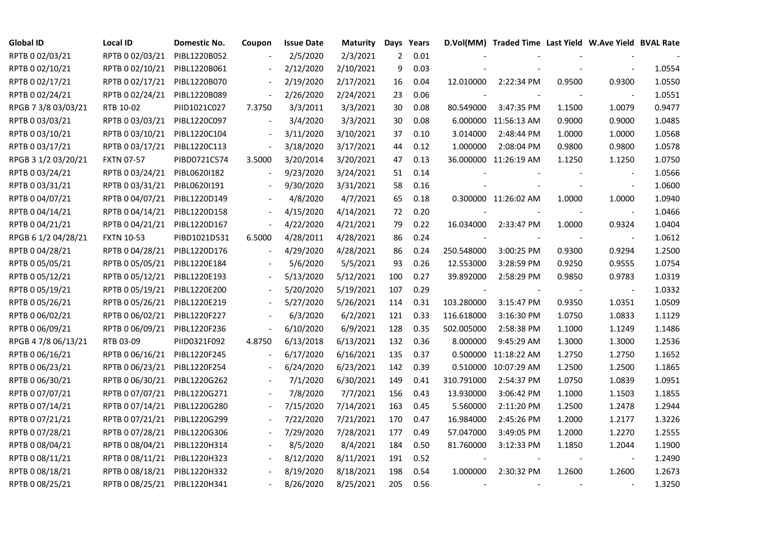| <b>Global ID</b>    | <b>Local ID</b>   | Domestic No. | Coupon                   | <b>Issue Date</b> | <b>Maturity</b> | Days           | Years |            | D.Vol(MM) Traded Time Last Yield W.Ave Yield BVAL Rate |        |                          |        |
|---------------------|-------------------|--------------|--------------------------|-------------------|-----------------|----------------|-------|------------|--------------------------------------------------------|--------|--------------------------|--------|
| RPTB 0 02/03/21     | RPTB 0 02/03/21   | PIBL1220B052 |                          | 2/5/2020          | 2/3/2021        | $\overline{2}$ | 0.01  |            |                                                        |        |                          |        |
| RPTB 0 02/10/21     | RPTB 0 02/10/21   | PIBL1220B061 |                          | 2/12/2020         | 2/10/2021       | 9              | 0.03  |            |                                                        |        |                          | 1.0554 |
| RPTB 0 02/17/21     | RPTB 0 02/17/21   | PIBL1220B070 |                          | 2/19/2020         | 2/17/2021       | 16             | 0.04  | 12.010000  | 2:22:34 PM                                             | 0.9500 | 0.9300                   | 1.0550 |
| RPTB 0 02/24/21     | RPTB 0 02/24/21   | PIBL1220B089 | $\blacksquare$           | 2/26/2020         | 2/24/2021       | 23             | 0.06  |            |                                                        |        |                          | 1.0551 |
| RPGB 7 3/8 03/03/21 | RTB 10-02         | PIID1021C027 | 7.3750                   | 3/3/2011          | 3/3/2021        | 30             | 0.08  | 80.549000  | 3:47:35 PM                                             | 1.1500 | 1.0079                   | 0.9477 |
| RPTB 0 03/03/21     | RPTB 0 03/03/21   | PIBL1220C097 |                          | 3/4/2020          | 3/3/2021        | 30             | 0.08  |            | 6.000000 11:56:13 AM                                   | 0.9000 | 0.9000                   | 1.0485 |
| RPTB 0 03/10/21     | RPTB 0 03/10/21   | PIBL1220C104 |                          | 3/11/2020         | 3/10/2021       | 37             | 0.10  | 3.014000   | 2:48:44 PM                                             | 1.0000 | 1.0000                   | 1.0568 |
| RPTB 0 03/17/21     | RPTB 0 03/17/21   | PIBL1220C113 |                          | 3/18/2020         | 3/17/2021       | 44             | 0.12  | 1.000000   | 2:08:04 PM                                             | 0.9800 | 0.9800                   | 1.0578 |
| RPGB 3 1/2 03/20/21 | <b>FXTN 07-57</b> | PIBD0721C574 | 3.5000                   | 3/20/2014         | 3/20/2021       | 47             | 0.13  |            | 36.000000 11:26:19 AM                                  | 1.1250 | 1.1250                   | 1.0750 |
| RPTB 0 03/24/21     | RPTB 0 03/24/21   | PIBL06201182 |                          | 9/23/2020         | 3/24/2021       | 51             | 0.14  |            |                                                        |        |                          | 1.0566 |
| RPTB 0 03/31/21     | RPTB 0 03/31/21   | PIBL0620I191 |                          | 9/30/2020         | 3/31/2021       | 58             | 0.16  |            |                                                        |        | $\blacksquare$           | 1.0600 |
| RPTB 0 04/07/21     | RPTB 0 04/07/21   | PIBL1220D149 |                          | 4/8/2020          | 4/7/2021        | 65             | 0.18  |            | 0.300000 11:26:02 AM                                   | 1.0000 | 1.0000                   | 1.0940 |
| RPTB 0 04/14/21     | RPTB 0 04/14/21   | PIBL1220D158 |                          | 4/15/2020         | 4/14/2021       | 72             | 0.20  |            |                                                        |        | $\blacksquare$           | 1.0466 |
| RPTB 0 04/21/21     | RPTB 0 04/21/21   | PIBL1220D167 | $\overline{\phantom{a}}$ | 4/22/2020         | 4/21/2021       | 79             | 0.22  | 16.034000  | 2:33:47 PM                                             | 1.0000 | 0.9324                   | 1.0404 |
| RPGB 6 1/2 04/28/21 | <b>FXTN 10-53</b> | PIBD1021D531 | 6.5000                   | 4/28/2011         | 4/28/2021       | 86             | 0.24  |            |                                                        |        | $\blacksquare$           | 1.0612 |
| RPTB 0 04/28/21     | RPTB 0 04/28/21   | PIBL1220D176 |                          | 4/29/2020         | 4/28/2021       | 86             | 0.24  | 250.548000 | 3:00:25 PM                                             | 0.9300 | 0.9294                   | 1.2500 |
| RPTB 0 05/05/21     | RPTB 0 05/05/21   | PIBL1220E184 |                          | 5/6/2020          | 5/5/2021        | 93             | 0.26  | 12.553000  | 3:28:59 PM                                             | 0.9250 | 0.9555                   | 1.0754 |
| RPTB 0 05/12/21     | RPTB 0 05/12/21   | PIBL1220E193 |                          | 5/13/2020         | 5/12/2021       | 100            | 0.27  | 39.892000  | 2:58:29 PM                                             | 0.9850 | 0.9783                   | 1.0319 |
| RPTB 0 05/19/21     | RPTB 0 05/19/21   | PIBL1220E200 |                          | 5/20/2020         | 5/19/2021       | 107            | 0.29  |            |                                                        |        | $\overline{\phantom{a}}$ | 1.0332 |
| RPTB 0 05/26/21     | RPTB 0 05/26/21   | PIBL1220E219 |                          | 5/27/2020         | 5/26/2021       | 114            | 0.31  | 103.280000 | 3:15:47 PM                                             | 0.9350 | 1.0351                   | 1.0509 |
| RPTB 0 06/02/21     | RPTB 0 06/02/21   | PIBL1220F227 |                          | 6/3/2020          | 6/2/2021        | 121            | 0.33  | 116.618000 | 3:16:30 PM                                             | 1.0750 | 1.0833                   | 1.1129 |
| RPTB 0 06/09/21     | RPTB 0 06/09/21   | PIBL1220F236 | $\overline{\phantom{a}}$ | 6/10/2020         | 6/9/2021        | 128            | 0.35  | 502.005000 | 2:58:38 PM                                             | 1.1000 | 1.1249                   | 1.1486 |
| RPGB 4 7/8 06/13/21 | RTB 03-09         | PIID0321F092 | 4.8750                   | 6/13/2018         | 6/13/2021       | 132            | 0.36  | 8.000000   | 9:45:29 AM                                             | 1.3000 | 1.3000                   | 1.2536 |
| RPTB 0 06/16/21     | RPTB 0 06/16/21   | PIBL1220F245 |                          | 6/17/2020         | 6/16/2021       | 135            | 0.37  |            | 0.500000 11:18:22 AM                                   | 1.2750 | 1.2750                   | 1.1652 |
| RPTB 0 06/23/21     | RPTB 0 06/23/21   | PIBL1220F254 |                          | 6/24/2020         | 6/23/2021       | 142            | 0.39  |            | 0.510000 10:07:29 AM                                   | 1.2500 | 1.2500                   | 1.1865 |
| RPTB 0 06/30/21     | RPTB 0 06/30/21   | PIBL1220G262 |                          | 7/1/2020          | 6/30/2021       | 149            | 0.41  | 310.791000 | 2:54:37 PM                                             | 1.0750 | 1.0839                   | 1.0951 |
| RPTB 0 07/07/21     | RPTB 0 07/07/21   | PIBL1220G271 |                          | 7/8/2020          | 7/7/2021        | 156            | 0.43  | 13.930000  | 3:06:42 PM                                             | 1.1000 | 1.1503                   | 1.1855 |
| RPTB 0 07/14/21     | RPTB 0 07/14/21   | PIBL1220G280 |                          | 7/15/2020         | 7/14/2021       | 163            | 0.45  | 5.560000   | 2:11:20 PM                                             | 1.2500 | 1.2478                   | 1.2944 |
| RPTB 0 07/21/21     | RPTB 0 07/21/21   | PIBL1220G299 |                          | 7/22/2020         | 7/21/2021       | 170            | 0.47  | 16.984000  | 2:45:26 PM                                             | 1.2000 | 1.2177                   | 1.3226 |
| RPTB 0 07/28/21     | RPTB 0 07/28/21   | PIBL1220G306 |                          | 7/29/2020         | 7/28/2021       | 177            | 0.49  | 57.047000  | 3:49:05 PM                                             | 1.2000 | 1.2270                   | 1.2555 |
| RPTB 0 08/04/21     | RPTB 0 08/04/21   | PIBL1220H314 |                          | 8/5/2020          | 8/4/2021        | 184            | 0.50  | 81.760000  | 3:12:33 PM                                             | 1.1850 | 1.2044                   | 1.1900 |
| RPTB 0 08/11/21     | RPTB 0 08/11/21   | PIBL1220H323 |                          | 8/12/2020         | 8/11/2021       | 191            | 0.52  |            |                                                        |        | $\overline{\phantom{a}}$ | 1.2490 |
| RPTB 0 08/18/21     | RPTB 0 08/18/21   | PIBL1220H332 |                          | 8/19/2020         | 8/18/2021       | 198            | 0.54  | 1.000000   | 2:30:32 PM                                             | 1.2600 | 1.2600                   | 1.2673 |
| RPTB 0 08/25/21     | RPTB 0 08/25/21   | PIBL1220H341 |                          | 8/26/2020         | 8/25/2021       | 205            | 0.56  |            |                                                        |        |                          | 1.3250 |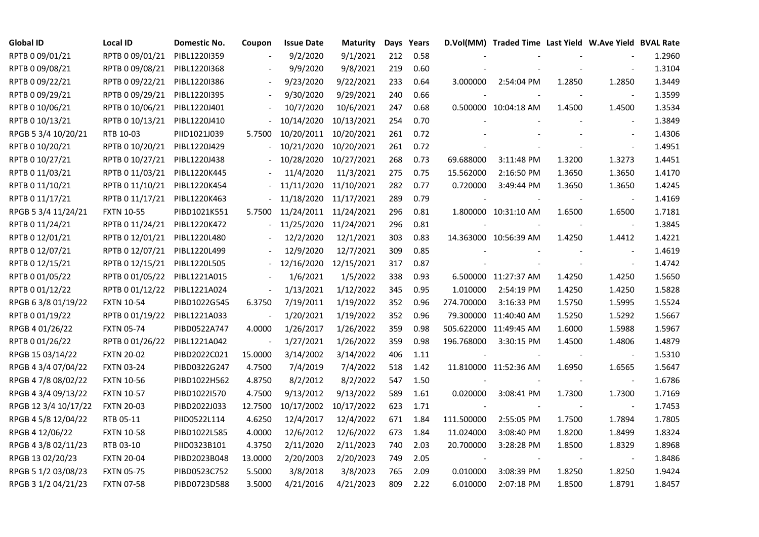| <b>Global ID</b>     | <b>Local ID</b>   | Domestic No. | Coupon                   | <b>Issue Date</b> | <b>Maturity</b> |     | Days Years |            | D.Vol(MM) Traded Time Last Yield W.Ave Yield BVAL Rate |        |                          |        |
|----------------------|-------------------|--------------|--------------------------|-------------------|-----------------|-----|------------|------------|--------------------------------------------------------|--------|--------------------------|--------|
| RPTB 0 09/01/21      | RPTB 0 09/01/21   | PIBL1220I359 |                          | 9/2/2020          | 9/1/2021        | 212 | 0.58       |            |                                                        |        |                          | 1.2960 |
| RPTB 0 09/08/21      | RPTB 0 09/08/21   | PIBL1220I368 |                          | 9/9/2020          | 9/8/2021        | 219 | 0.60       |            |                                                        |        |                          | 1.3104 |
| RPTB 0 09/22/21      | RPTB 0 09/22/21   | PIBL1220I386 |                          | 9/23/2020         | 9/22/2021       | 233 | 0.64       | 3.000000   | 2:54:04 PM                                             | 1.2850 | 1.2850                   | 1.3449 |
| RPTB 0 09/29/21      | RPTB 0 09/29/21   | PIBL1220I395 | $\blacksquare$           | 9/30/2020         | 9/29/2021       | 240 | 0.66       |            |                                                        |        |                          | 1.3599 |
| RPTB 0 10/06/21      | RPTB 0 10/06/21   | PIBL1220J401 |                          | 10/7/2020         | 10/6/2021       | 247 | 0.68       |            | 0.500000 10:04:18 AM                                   | 1.4500 | 1.4500                   | 1.3534 |
| RPTB 0 10/13/21      | RPTB 0 10/13/21   | PIBL1220J410 |                          | 10/14/2020        | 10/13/2021      | 254 | 0.70       |            |                                                        |        |                          | 1.3849 |
| RPGB 5 3/4 10/20/21  | RTB 10-03         | PIID1021J039 | 5.7500                   | 10/20/2011        | 10/20/2021      | 261 | 0.72       |            |                                                        |        | $\overline{\phantom{a}}$ | 1.4306 |
| RPTB 0 10/20/21      | RPTB 0 10/20/21   | PIBL1220J429 |                          | 10/21/2020        | 10/20/2021      | 261 | 0.72       |            |                                                        |        | $\overline{\phantom{a}}$ | 1.4951 |
| RPTB 0 10/27/21      | RPTB 0 10/27/21   | PIBL1220J438 |                          | 10/28/2020        | 10/27/2021      | 268 | 0.73       | 69.688000  | 3:11:48 PM                                             | 1.3200 | 1.3273                   | 1.4451 |
| RPTB 0 11/03/21      | RPTB 0 11/03/21   | PIBL1220K445 |                          | 11/4/2020         | 11/3/2021       | 275 | 0.75       | 15.562000  | 2:16:50 PM                                             | 1.3650 | 1.3650                   | 1.4170 |
| RPTB 0 11/10/21      | RPTB 0 11/10/21   | PIBL1220K454 |                          | 11/11/2020        | 11/10/2021      | 282 | 0.77       | 0.720000   | 3:49:44 PM                                             | 1.3650 | 1.3650                   | 1.4245 |
| RPTB 0 11/17/21      | RPTB 0 11/17/21   | PIBL1220K463 | $\blacksquare$           | 11/18/2020        | 11/17/2021      | 289 | 0.79       |            |                                                        |        | $\overline{\phantom{a}}$ | 1.4169 |
| RPGB 5 3/4 11/24/21  | <b>FXTN 10-55</b> | PIBD1021K551 | 5.7500                   | 11/24/2011        | 11/24/2021      | 296 | 0.81       |            | 1.800000 10:31:10 AM                                   | 1.6500 | 1.6500                   | 1.7181 |
| RPTB 0 11/24/21      | RPTB 0 11/24/21   | PIBL1220K472 |                          | 11/25/2020        | 11/24/2021      | 296 | 0.81       |            |                                                        |        | $\blacksquare$           | 1.3845 |
| RPTB 0 12/01/21      | RPTB 0 12/01/21   | PIBL1220L480 |                          | 12/2/2020         | 12/1/2021       | 303 | 0.83       |            | 14.363000 10:56:39 AM                                  | 1.4250 | 1.4412                   | 1.4221 |
| RPTB 0 12/07/21      | RPTB 0 12/07/21   | PIBL1220L499 |                          | 12/9/2020         | 12/7/2021       | 309 | 0.85       |            |                                                        |        |                          | 1.4619 |
| RPTB 0 12/15/21      | RPTB 0 12/15/21   | PIBL1220L505 |                          | 12/16/2020        | 12/15/2021      | 317 | 0.87       |            |                                                        |        | $\blacksquare$           | 1.4742 |
| RPTB 0 01/05/22      | RPTB 0 01/05/22   | PIBL1221A015 | $\overline{\phantom{a}}$ | 1/6/2021          | 1/5/2022        | 338 | 0.93       |            | 6.500000 11:27:37 AM                                   | 1.4250 | 1.4250                   | 1.5650 |
| RPTB 0 01/12/22      | RPTB 0 01/12/22   | PIBL1221A024 | $\blacksquare$           | 1/13/2021         | 1/12/2022       | 345 | 0.95       | 1.010000   | 2:54:19 PM                                             | 1.4250 | 1.4250                   | 1.5828 |
| RPGB 63/8 01/19/22   | <b>FXTN 10-54</b> | PIBD1022G545 | 6.3750                   | 7/19/2011         | 1/19/2022       | 352 | 0.96       | 274.700000 | 3:16:33 PM                                             | 1.5750 | 1.5995                   | 1.5524 |
| RPTB 0 01/19/22      | RPTB 0 01/19/22   | PIBL1221A033 | $\blacksquare$           | 1/20/2021         | 1/19/2022       | 352 | 0.96       |            | 79.300000 11:40:40 AM                                  | 1.5250 | 1.5292                   | 1.5667 |
| RPGB 4 01/26/22      | <b>FXTN 05-74</b> | PIBD0522A747 | 4.0000                   | 1/26/2017         | 1/26/2022       | 359 | 0.98       |            | 505.622000 11:49:45 AM                                 | 1.6000 | 1.5988                   | 1.5967 |
| RPTB 0 01/26/22      | RPTB 0 01/26/22   | PIBL1221A042 |                          | 1/27/2021         | 1/26/2022       | 359 | 0.98       | 196.768000 | 3:30:15 PM                                             | 1.4500 | 1.4806                   | 1.4879 |
| RPGB 15 03/14/22     | <b>FXTN 20-02</b> | PIBD2022C021 | 15.0000                  | 3/14/2002         | 3/14/2022       | 406 | 1.11       |            |                                                        |        |                          | 1.5310 |
| RPGB 4 3/4 07/04/22  | <b>FXTN 03-24</b> | PIBD0322G247 | 4.7500                   | 7/4/2019          | 7/4/2022        | 518 | 1.42       |            | 11.810000 11:52:36 AM                                  | 1.6950 | 1.6565                   | 1.5647 |
| RPGB 4 7/8 08/02/22  | <b>FXTN 10-56</b> | PIBD1022H562 | 4.8750                   | 8/2/2012          | 8/2/2022        | 547 | 1.50       |            |                                                        |        | $\blacksquare$           | 1.6786 |
| RPGB 4 3/4 09/13/22  | <b>FXTN 10-57</b> | PIBD1022I570 | 4.7500                   | 9/13/2012         | 9/13/2022       | 589 | 1.61       | 0.020000   | 3:08:41 PM                                             | 1.7300 | 1.7300                   | 1.7169 |
| RPGB 12 3/4 10/17/22 | <b>FXTN 20-03</b> | PIBD2022J033 | 12.7500                  | 10/17/2002        | 10/17/2022      | 623 | 1.71       |            |                                                        |        | $\overline{\phantom{a}}$ | 1.7453 |
| RPGB 4 5/8 12/04/22  | RTB 05-11         | PIID0522L114 | 4.6250                   | 12/4/2017         | 12/4/2022       | 671 | 1.84       | 111.500000 | 2:55:05 PM                                             | 1.7500 | 1.7894                   | 1.7805 |
| RPGB 4 12/06/22      | <b>FXTN 10-58</b> | PIBD1022L585 | 4.0000                   | 12/6/2012         | 12/6/2022       | 673 | 1.84       | 11.024000  | 3:08:40 PM                                             | 1.8200 | 1.8499                   | 1.8324 |
| RPGB 4 3/8 02/11/23  | RTB 03-10         | PIID0323B101 | 4.3750                   | 2/11/2020         | 2/11/2023       | 740 | 2.03       | 20.700000  | 3:28:28 PM                                             | 1.8500 | 1.8329                   | 1.8968 |
| RPGB 13 02/20/23     | <b>FXTN 20-04</b> | PIBD2023B048 | 13.0000                  | 2/20/2003         | 2/20/2023       | 749 | 2.05       |            |                                                        |        |                          | 1.8486 |
| RPGB 5 1/2 03/08/23  | <b>FXTN 05-75</b> | PIBD0523C752 | 5.5000                   | 3/8/2018          | 3/8/2023        | 765 | 2.09       | 0.010000   | 3:08:39 PM                                             | 1.8250 | 1.8250                   | 1.9424 |
| RPGB 3 1/2 04/21/23  | <b>FXTN 07-58</b> | PIBD0723D588 | 3.5000                   | 4/21/2016         | 4/21/2023       | 809 | 2.22       | 6.010000   | 2:07:18 PM                                             | 1.8500 | 1.8791                   | 1.8457 |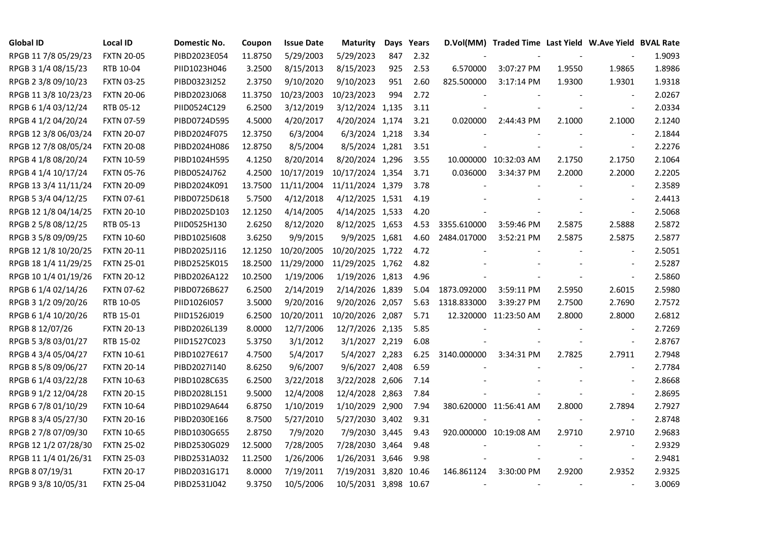| <b>Global ID</b>     | <b>Local ID</b>   | Domestic No. | Coupon  | <b>Issue Date</b> | <b>Maturity</b>       |     | Days Years |             | D.Vol(MM) Traded Time Last Yield W.Ave Yield BVAL Rate |        |                          |        |
|----------------------|-------------------|--------------|---------|-------------------|-----------------------|-----|------------|-------------|--------------------------------------------------------|--------|--------------------------|--------|
| RPGB 11 7/8 05/29/23 | <b>FXTN 20-05</b> | PIBD2023E054 | 11.8750 | 5/29/2003         | 5/29/2023             | 847 | 2.32       |             |                                                        |        |                          | 1.9093 |
| RPGB 3 1/4 08/15/23  | RTB 10-04         | PIID1023H046 | 3.2500  | 8/15/2013         | 8/15/2023             | 925 | 2.53       | 6.570000    | 3:07:27 PM                                             | 1.9550 | 1.9865                   | 1.8986 |
| RPGB 2 3/8 09/10/23  | <b>FXTN 03-25</b> | PIBD0323I252 | 2.3750  | 9/10/2020         | 9/10/2023             | 951 | 2.60       | 825.500000  | 3:17:14 PM                                             | 1.9300 | 1.9301                   | 1.9318 |
| RPGB 11 3/8 10/23/23 | <b>FXTN 20-06</b> | PIBD2023J068 | 11.3750 | 10/23/2003        | 10/23/2023            | 994 | 2.72       |             |                                                        |        | $\sim$                   | 2.0267 |
| RPGB 6 1/4 03/12/24  | RTB 05-12         | PIID0524C129 | 6.2500  | 3/12/2019         | 3/12/2024 1,135       |     | 3.11       |             |                                                        |        | $\blacksquare$           | 2.0334 |
| RPGB 4 1/2 04/20/24  | <b>FXTN 07-59</b> | PIBD0724D595 | 4.5000  | 4/20/2017         | 4/20/2024 1,174       |     | 3.21       | 0.020000    | 2:44:43 PM                                             | 2.1000 | 2.1000                   | 2.1240 |
| RPGB 12 3/8 06/03/24 | <b>FXTN 20-07</b> | PIBD2024F075 | 12.3750 | 6/3/2004          | 6/3/2024 1,218        |     | 3.34       |             |                                                        |        |                          | 2.1844 |
| RPGB 12 7/8 08/05/24 | <b>FXTN 20-08</b> | PIBD2024H086 | 12.8750 | 8/5/2004          | 8/5/2024 1,281        |     | 3.51       |             |                                                        |        | $\blacksquare$           | 2.2276 |
| RPGB 4 1/8 08/20/24  | <b>FXTN 10-59</b> | PIBD1024H595 | 4.1250  | 8/20/2014         | 8/20/2024 1,296       |     | 3.55       |             | 10.000000 10:32:03 AM                                  | 2.1750 | 2.1750                   | 2.1064 |
| RPGB 4 1/4 10/17/24  | <b>FXTN 05-76</b> | PIBD0524J762 | 4.2500  | 10/17/2019        | 10/17/2024 1,354      |     | 3.71       | 0.036000    | 3:34:37 PM                                             | 2.2000 | 2.2000                   | 2.2205 |
| RPGB 13 3/4 11/11/24 | <b>FXTN 20-09</b> | PIBD2024K091 | 13.7500 | 11/11/2004        | 11/11/2024 1,379      |     | 3.78       |             |                                                        |        | $\blacksquare$           | 2.3589 |
| RPGB 5 3/4 04/12/25  | <b>FXTN 07-61</b> | PIBD0725D618 | 5.7500  | 4/12/2018         | 4/12/2025 1,531       |     | 4.19       |             |                                                        |        |                          | 2.4413 |
| RPGB 12 1/8 04/14/25 | <b>FXTN 20-10</b> | PIBD2025D103 | 12.1250 | 4/14/2005         | 4/14/2025 1,533       |     | 4.20       |             |                                                        |        | $\blacksquare$           | 2.5068 |
| RPGB 2 5/8 08/12/25  | RTB 05-13         | PIID0525H130 | 2.6250  | 8/12/2020         | 8/12/2025 1,653       |     | 4.53       | 3355.610000 | 3:59:46 PM                                             | 2.5875 | 2.5888                   | 2.5872 |
| RPGB 3 5/8 09/09/25  | <b>FXTN 10-60</b> | PIBD10251608 | 3.6250  | 9/9/2015          | 9/9/2025 1,681        |     | 4.60       | 2484.017000 | 3:52:21 PM                                             | 2.5875 | 2.5875                   | 2.5877 |
| RPGB 12 1/8 10/20/25 | <b>FXTN 20-11</b> | PIBD2025J116 | 12.1250 | 10/20/2005        | 10/20/2025 1,722      |     | 4.72       |             |                                                        |        |                          | 2.5051 |
| RPGB 18 1/4 11/29/25 | <b>FXTN 25-01</b> | PIBD2525K015 | 18.2500 | 11/29/2000        | 11/29/2025 1,762      |     | 4.82       |             |                                                        |        | $\overline{\phantom{a}}$ | 2.5287 |
| RPGB 10 1/4 01/19/26 | <b>FXTN 20-12</b> | PIBD2026A122 | 10.2500 | 1/19/2006         | 1/19/2026 1,813       |     | 4.96       |             |                                                        |        | $\sim$                   | 2.5860 |
| RPGB 6 1/4 02/14/26  | <b>FXTN 07-62</b> | PIBD0726B627 | 6.2500  | 2/14/2019         | 2/14/2026 1,839       |     | 5.04       | 1873.092000 | 3:59:11 PM                                             | 2.5950 | 2.6015                   | 2.5980 |
| RPGB 3 1/2 09/20/26  | RTB 10-05         | PIID1026I057 | 3.5000  | 9/20/2016         | 9/20/2026 2,057       |     | 5.63       | 1318.833000 | 3:39:27 PM                                             | 2.7500 | 2.7690                   | 2.7572 |
| RPGB 6 1/4 10/20/26  | RTB 15-01         | PIID1526J019 | 6.2500  | 10/20/2011        | 10/20/2026 2,087      |     | 5.71       |             | 12.320000 11:23:50 AM                                  | 2.8000 | 2.8000                   | 2.6812 |
| RPGB 8 12/07/26      | <b>FXTN 20-13</b> | PIBD2026L139 | 8.0000  | 12/7/2006         | 12/7/2026 2,135       |     | 5.85       |             |                                                        |        |                          | 2.7269 |
| RPGB 5 3/8 03/01/27  | RTB 15-02         | PIID1527C023 | 5.3750  | 3/1/2012          | 3/1/2027 2,219        |     | 6.08       |             |                                                        |        |                          | 2.8767 |
| RPGB 4 3/4 05/04/27  | <b>FXTN 10-61</b> | PIBD1027E617 | 4.7500  | 5/4/2017          | 5/4/2027 2,283        |     | 6.25       | 3140.000000 | 3:34:31 PM                                             | 2.7825 | 2.7911                   | 2.7948 |
| RPGB 8 5/8 09/06/27  | <b>FXTN 20-14</b> | PIBD2027I140 | 8.6250  | 9/6/2007          | 9/6/2027 2,408        |     | 6.59       |             |                                                        |        | $\blacksquare$           | 2.7784 |
| RPGB 6 1/4 03/22/28  | <b>FXTN 10-63</b> | PIBD1028C635 | 6.2500  | 3/22/2018         | 3/22/2028 2,606       |     | 7.14       |             |                                                        |        |                          | 2.8668 |
| RPGB 9 1/2 12/04/28  | <b>FXTN 20-15</b> | PIBD2028L151 | 9.5000  | 12/4/2008         | 12/4/2028 2,863       |     | 7.84       |             |                                                        |        | $\blacksquare$           | 2.8695 |
| RPGB 67/8 01/10/29   | <b>FXTN 10-64</b> | PIBD1029A644 | 6.8750  | 1/10/2019         | 1/10/2029 2,900       |     | 7.94       |             | 380.620000 11:56:41 AM                                 | 2.8000 | 2.7894                   | 2.7927 |
| RPGB 8 3/4 05/27/30  | <b>FXTN 20-16</b> | PIBD2030E166 | 8.7500  | 5/27/2010         | 5/27/2030 3,402       |     | 9.31       |             |                                                        |        | $\blacksquare$           | 2.8748 |
| RPGB 2 7/8 07/09/30  | <b>FXTN 10-65</b> | PIBD1030G655 | 2.8750  | 7/9/2020          | 7/9/2030 3,445        |     | 9.43       |             | 920.000000 10:19:08 AM                                 | 2.9710 | 2.9710                   | 2.9683 |
| RPGB 12 1/2 07/28/30 | <b>FXTN 25-02</b> | PIBD2530G029 | 12.5000 | 7/28/2005         | 7/28/2030 3,464       |     | 9.48       |             |                                                        |        |                          | 2.9329 |
| RPGB 11 1/4 01/26/31 | <b>FXTN 25-03</b> | PIBD2531A032 | 11.2500 | 1/26/2006         | 1/26/2031 3,646       |     | 9.98       |             |                                                        |        | $\overline{\phantom{a}}$ | 2.9481 |
| RPGB 8 07/19/31      | <b>FXTN 20-17</b> | PIBD2031G171 | 8.0000  | 7/19/2011         | 7/19/2031 3,820       |     | 10.46      | 146.861124  | 3:30:00 PM                                             | 2.9200 | 2.9352                   | 2.9325 |
| RPGB 9 3/8 10/05/31  | <b>FXTN 25-04</b> | PIBD2531J042 | 9.3750  | 10/5/2006         | 10/5/2031 3,898 10.67 |     |            |             |                                                        |        |                          | 3.0069 |